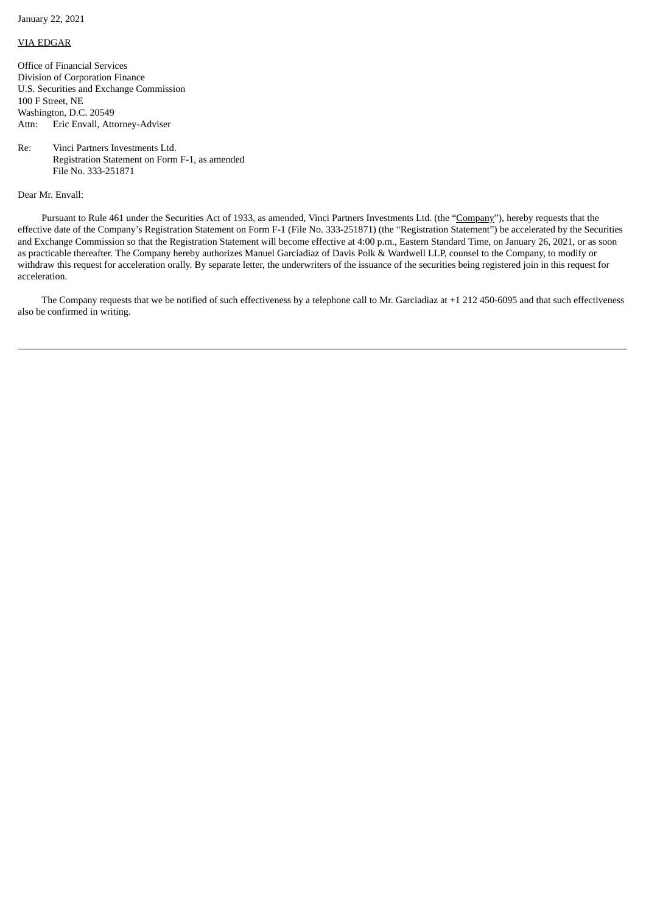January 22, 2021

## VIA EDGAR

Office of Financial Services Division of Corporation Finance U.S. Securities and Exchange Commission 100 F Street, NE Washington, D.C. 20549 Attn: Eric Envall, Attorney-Adviser

Re: Vinci Partners Investments Ltd. Registration Statement on Form F-1, as amended File No. 333-251871

Dear Mr. Envall:

Pursuant to Rule 461 under the Securities Act of 1933, as amended, Vinci Partners Investments Ltd. (the "Company"), hereby requests that the effective date of the Company's Registration Statement on Form F-1 (File No. 333-251871) (the "Registration Statement") be accelerated by the Securities and Exchange Commission so that the Registration Statement will become effective at 4:00 p.m., Eastern Standard Time, on January 26, 2021, or as soon as practicable thereafter. The Company hereby authorizes Manuel Garciadiaz of Davis Polk & Wardwell LLP, counsel to the Company, to modify or withdraw this request for acceleration orally. By separate letter, the underwriters of the issuance of the securities being registered join in this request for acceleration.

The Company requests that we be notified of such effectiveness by a telephone call to Mr. Garciadiaz at +1 212 450-6095 and that such effectiveness also be confirmed in writing.